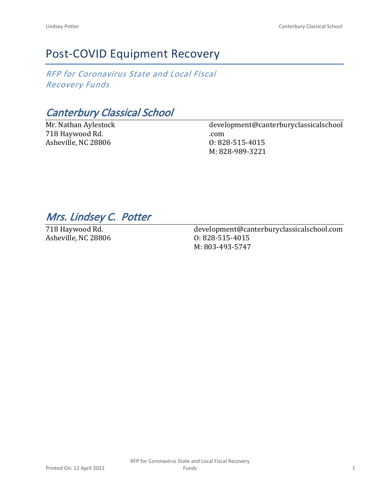# Post-COVID Equipment Recovery

*RFP for Coronavirus State and Local Fiscal Recovery Funds*

*Canterbury Classical School*

Mr. Nathan Aylestock 718 Haywood Rd. Asheville, NC 28806

development@canterburyclassicalschool .com O: 828-515-4015 M: 828-989-3221

## *Mrs. Lindsey C. Potter*

718 Haywood Rd. Asheville, NC 28806 development@canterburyclassicalschool.com O: 828-515-4015 M: 803-493-5747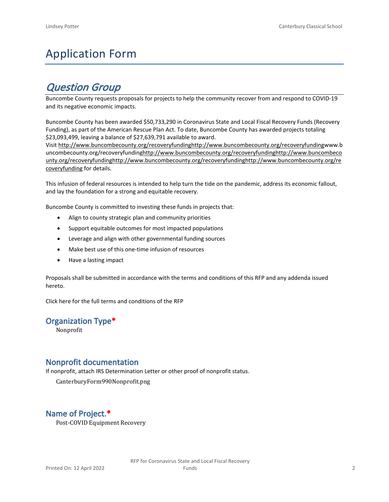# Application Form

## *Question Group*

Buncombe County requests proposals for projects to help the community recover from and respond to COVID-19 and its negative economic impacts.

Buncombe County has been awarded \$50,733,290 in Coronavirus State and Local Fiscal Recovery Funds (Recovery Funding), as part of the American Rescue Plan Act. To date, Buncombe County has awarded projects totaling \$23,093,499, leaving a balance of \$27,639,791 available to award.

Visit [http://www.buncombecounty.org/recoveryfundinghttp://www.buncombecounty.org/recoveryfundingwww.b](http://www.buncombecounty.org/recoveryfunding) [uncombecounty.org/recoveryfundinghttp://www.buncombecounty.org/recoveryfundinghttp://www.buncombeco](http://www.buncombecounty.org/recoveryfunding) [unty.org/recoveryfundinghttp://www.buncombecounty.org/recoveryfundinghttp://www.buncombecounty.org/re](http://www.buncombecounty.org/recoveryfunding) [coveryfunding](http://www.buncombecounty.org/recoveryfunding) for details.

This infusion of federal resources is intended to help turn the tide on the pandemic, address its economic fallout, and lay the foundation for a strong and equitable recovery.

Buncombe County is committed to investing these funds in projects that:

- Align to county strategic plan and community priorities
- Support equitable outcomes for most impacted populations
- Leverage and align with other governmental funding sources
- Make best use of this one-time infusion of resources
- Have a lasting impact

Proposals shall be submitted in accordance with the terms and conditions of this RFP and any addenda issued hereto.

Click [here](https://www.buncombecounty.org/common/purchasing/Buncombe%20Recovery%20Funding%20RFP%202022.pdf) for the full terms and conditions of the RFP

## **Organization Type\***

Nonprofit

## **Nonprofit documentation**

If nonprofit, attach IRS Determination Letter or other proof of nonprofit status.

CanterburyForm990Nonprofit.png

## **Name of Project.\***

Post-COVID Equipment Recovery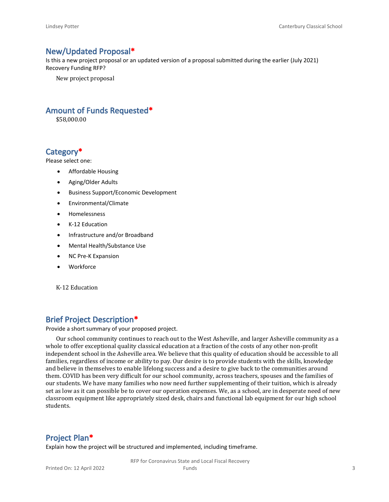## **New/Updated Proposal\***

Is this a new project proposal or an updated version of a proposal submitted during the earlier (July 2021) Recovery Funding RFP?

New project proposal

## **Amount of Funds Requested\***

\$58,000.00

## **Category\***

Please select one:

- Affordable Housing
- Aging/Older Adults
- Business Support/Economic Development
- Environmental/Climate
- Homelessness
- K-12 Education
- Infrastructure and/or Broadband
- Mental Health/Substance Use
- NC Pre-K Expansion
- Workforce

K-12 Education

## **Brief Project Description\***

Provide a short summary of your proposed project.

Our school community continues to reach out to the West Asheville, and larger Asheville community as a whole to offer exceptional quality classical education at a fraction of the costs of any other non-profit independent school in the Asheville area. We believe that this quality of education should be accessible to all families, regardless of income or ability to pay. Our desire is to provide students with the skills, knowledge and believe in themselves to enable lifelong success and a desire to give back to the communities around them. COVID has been very difficult for our school community, across teachers, spouses and the families of our students. We have many families who now need further supplementing of their tuition, which is already set as low as it can possible be to cover our operation expenses. We, as a school, are in desperate need of new classroom equipment like appropriately sized desk, chairs and functional lab equipment for our high school students.

#### **Project Plan\***

Explain how the project will be structured and implemented, including timeframe.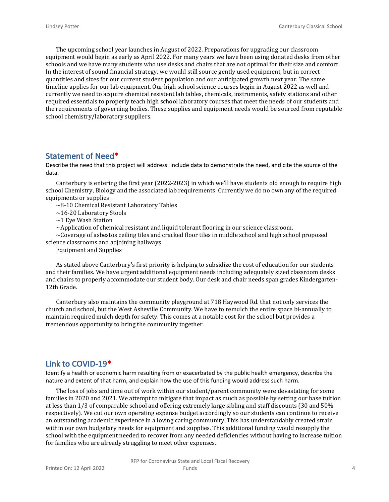The upcoming school year launches in August of 2022. Preparations for upgrading our classroom equipment would begin as early as April 2022. For many years we have been using donated desks from other schools and we have many students who use desks and chairs that are not optimal for their size and comfort. In the interest of sound financial strategy, we would still source gently used equipment, but in correct quantities and sizes for our current student population and our anticipated growth next year. The same timeline applies for our lab equipment. Our high school science courses begin in August 2022 as well and currently we need to acquire chemical resistent lab tables, chemicals, instruments, safety stations and other required essentials to properly teach high school laboratory courses that meet the needs of our students and the requirements of governing bodies. These supplies and equipment needs would be sourced from reputable school chemistry/laboratory suppliers.

## **Statement of Need\***

Describe the need that this project will address. Include data to demonstrate the need, and cite the source of the data.

Canterbury is entering the first year (2022-2023) in which we'll have students old enough to require high school Chemistry, Biology and the associated lab requirements. Currently we do no own any of the required equipments or supplies.

~8-10 Chemical Resistant Laboratory Tables

~16-20 Laboratory Stools

~1 Eye Wash Station

 $\sim$ Application of chemical resistant and liquid tolerant flooring in our science classroom.

 $\sim$ Coverage of asbestos ceiling tiles and cracked floor tiles in middle school and high school proposed science classrooms and adjoining hallways

Equipment and Supplies

As stated above Canterbury's first priority is helping to subsidize the cost of education for our students and their families. We have urgent additional equipment needs including adequately sized classroom desks and chairs to properly accommodate our student body. Our desk and chair needs span grades Kindergarten-12th Grade.

Canterbury also maintains the community playground at 718 Haywood Rd. that not only services the church and school, but the West Asheville Community. We have to remulch the entire space bi-annually to maintain required mulch depth for safety. This comes at a notable cost for the school but provides a tremendous opportunity to bring the community together.

#### **Link to COVID-19\***

Identify a health or economic harm resulting from or exacerbated by the public health emergency, describe the nature and extent of that harm, and explain how the use of this funding would address such harm.

The loss of jobs and time out of work within our student/parent community were devastating for some families in 2020 and 2021. We attempt to mitigate that impact as much as possible by setting our base tuition at less than 1/3 of comparable school and offering extremely large sibling and staff discounts (30 and 50% respectively). We cut our own operating expense budget accordingly so our students can continue to receive an outstanding academic experience in a loving caring community. This has understandably created strain within our own budgetary needs for equipment and supplies. This additional funding would resupply the school with the equipment needed to recover from any needed deficiencies without having to increase tuition for families who are already struggling to meet other expenses.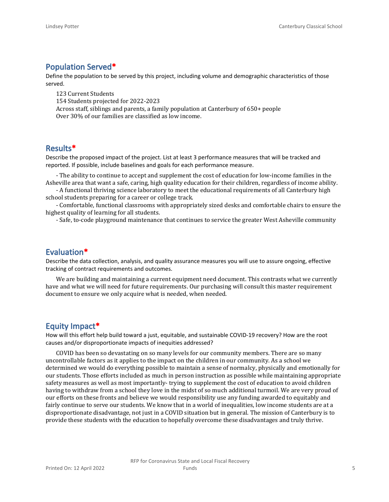## **Population Served\***

Define the population to be served by this project, including volume and demographic characteristics of those served.

123 Current Students 154 Students projected for 2022-2023 Across staff, siblings and parents, a family population at Canterbury of 650+ people Over 30% of our families are classified as low income.

## **Results\***

Describe the proposed impact of the project. List at least 3 performance measures that will be tracked and reported. If possible, include baselines and goals for each performance measure.

- The ability to continue to accept and supplement the cost of education for low-income families in the Asheville area that want a safe, caring, high quality education for their children, regardless of income ability.

- A functional thriving science laboratory to meet the educational requirements of all Canterbury high school students preparing for a career or college track.

- Comfortable, functional classrooms with appropriately sized desks and comfortable chairs to ensure the highest quality of learning for all students.

- Safe, to-code playground maintenance that continues to service the greater West Asheville community

## **Evaluation\***

Describe the data collection, analysis, and quality assurance measures you will use to assure ongoing, effective tracking of contract requirements and outcomes.

We are building and maintaining a current equipment need document. This contrasts what we currently have and what we will need for future requirements. Our purchasing will consult this master requirement document to ensure we only acquire what is needed, when needed.

## **Equity Impact\***

How will this effort help build toward a just, equitable, and sustainable COVID-19 recovery? How are the root causes and/or disproportionate impacts of inequities addressed?

COVID has been so devastating on so many levels for our community members. There are so many uncontrollable factors as it applies to the impact on the children in our community. As a school we determined we would do everything possible to maintain a sense of normalcy, physically and emotionally for our students. Those efforts included as much in person instruction as possible while maintaining appropriate safety measures as well as most importantly- trying to supplement the cost of education to avoid children having to withdraw from a school they love in the midst of so much additional turmoil. We are very proud of our efforts on these fronts and believe we would responsibility use any funding awarded to equitably and fairly continue to serve our students. We know that in a world of inequalities, low income students are at a disproportionate disadvantage, not just in a COVID situation but in general. The mission of Canterbury is to provide these students with the education to hopefully overcome these disadvantages and truly thrive.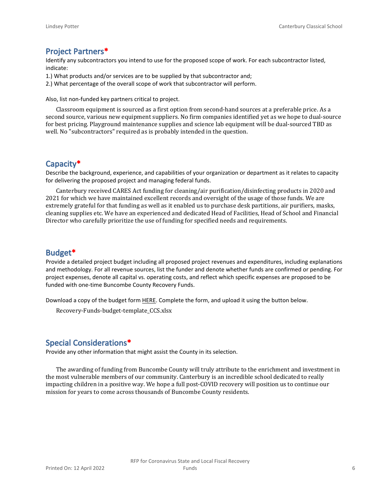## **Project Partners\***

Identify any subcontractors you intend to use for the proposed scope of work. For each subcontractor listed, indicate:

- 1.) What products and/or services are to be supplied by that subcontractor and;
- 2.) What percentage of the overall scope of work that subcontractor will perform.

Also, list non-funded key partners critical to project.

Classroom equipment is sourced as a first option from second-hand sources at a preferable price. As a second source, various new equipment suppliers. No firm companies identified yet as we hope to dual-source for best pricing. Playground maintenance supplies and science lab equipment will be dual-sourced TBD as well. No "subcontractors" required as is probably intended in the question.

## **Capacity\***

Describe the background, experience, and capabilities of your organization or department as it relates to capacity for delivering the proposed project and managing federal funds.

Canterbury received CARES Act funding for cleaning/air purification/disinfecting products in 2020 and 2021 for which we have maintained excellent records and oversight of the usage of those funds. We are extremely grateful for that funding as well as it enabled us to purchase desk partitions, air purifiers, masks, cleaning supplies etc. We have an experienced and dedicated Head of Facilities, Head of School and Financial Director who carefully prioritize the use of funding for specified needs and requirements.

#### **Budget\***

Provide a detailed project budget including all proposed project revenues and expenditures, including explanations and methodology. For all revenue sources, list the funder and denote whether funds are confirmed or pending. For project expenses, denote all capital vs. operating costs, and reflect which specific expenses are proposed to be funded with one-time Buncombe County Recovery Funds.

Download a copy of the budget form [HERE](https://buncombecounty.org/common/community-investment/grants/early-childhood-education/Recovery-Funds-budget-template.xlsx). Complete the form, and upload it using the button below.

Recovery-Funds-budget-template\_CCS.xlsx

## **Special Considerations\***

Provide any other information that might assist the County in its selection.

The awarding of funding from Buncombe County will truly attribute to the enrichment and investment in the most vulnerable members of our community. Canterbury is an incredible school dedicated to really impacting children in a positive way. We hope a full post-COVID recovery will position us to continue our mission for years to come across thousands of Buncombe County residents.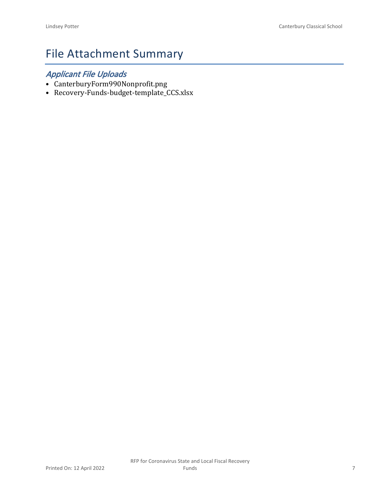# File Attachment Summary

## *Applicant File Uploads*

- CanterburyForm990Nonprofit.png
- Recovery-Funds-budget-template\_CCS.xlsx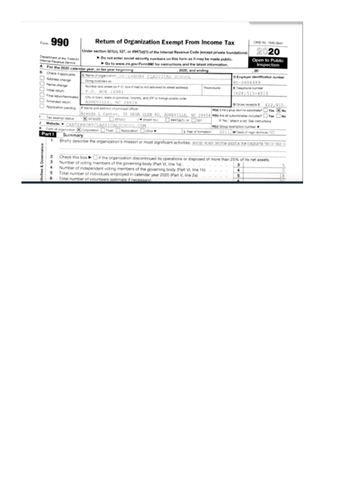| Department of the Treasury                | Under section 501(c), 527, or 4947(a)(1) of the Internal Revenue Code (except private foundations)<br>> Do not enter social security numbers on this form as it may be made public.          | 20<br>Open to Public            |                                         |                                  |                                                                                                       |
|-------------------------------------------|----------------------------------------------------------------------------------------------------------------------------------------------------------------------------------------------|---------------------------------|-----------------------------------------|----------------------------------|-------------------------------------------------------------------------------------------------------|
| Internal Revenue Service                  | Go to www.irs.gov/Form990 for instructions and the latest information.<br>For the 2020 calendar year, or tax year beginning                                                                  |                                 |                                         |                                  | Inspection                                                                                            |
| Check if applicable:<br>Address change    | C Name of organization CANTERBURY CLASSICAL SCHOOL<br>Doing business as                                                                                                                      | , 2020, and ending              |                                         |                                  | .20<br>D Employer identification number                                                               |
| Name change<br>Initial return             | Number and street jor P.O. box if mail is not delivered to street address)<br>P.O. BOX 16981                                                                                                 |                                 | Room/suite                              | 80-0686489<br>E Telephone rumber | $(828)$ 515-4015                                                                                      |
| Final return/terminated<br>Amended return | City or town, state or province, country, and ZIP or foreign postal code<br>ASHEVILLE, NC 28816                                                                                              |                                 |                                         | G Gross receipts \$              | 422, 910.                                                                                             |
| Application pending<br>Tax-exempt status: | F Name and address of principal officer.<br>Brenda L Canter, 30 DEVA GLEN RD, ASHEVILLE, NC 28804 MBM Aveall subordinates notated? I Yes I No<br>X sarage<br>$\Box$ 50% of<br>1 < (meet no.) | $\Box$ 4947(a)(1) or $\Box$ 527 |                                         |                                  | H(a) is this a group return for subordinates? Were DC Ma-<br>If "No," attach a list. See instructions |
| Part I<br>Summary                         | Website: CANTERBURYCLASSICALSCHOOL.COM<br>Form of organization (X) Corporation [   Trust   Association   Other                                                                               | L. Year of formation:           | <b>Mici Group exemption number &gt;</b> |                                  | 2011 M State of legal domicle 'SC'                                                                    |
|                                           | Briefly describe the organization's mission or most significant activities: [83][32] [83][33] [83][33][33] [93] [33][33][33]                                                                 |                                 |                                         |                                  |                                                                                                       |
| 2<br>3                                    | Check this box $\blacktriangleright$ $\Box$ if the organization discontinued its operations or disposed of more than 25% of its net assets.                                                  |                                 |                                         |                                  |                                                                                                       |
|                                           | Number of voting members of the governing body (Part VI, line 1a).<br>Number of independent voting members of the governing body (Part VI, line 1b)                                          |                                 |                                         | з<br>4                           |                                                                                                       |
|                                           | Total number of individuals employed in calendar year 2020 (Part V, line 2a).<br>Total number of volunteers (estimate if necessary)                                                          |                                 |                                         | 5                                | 18                                                                                                    |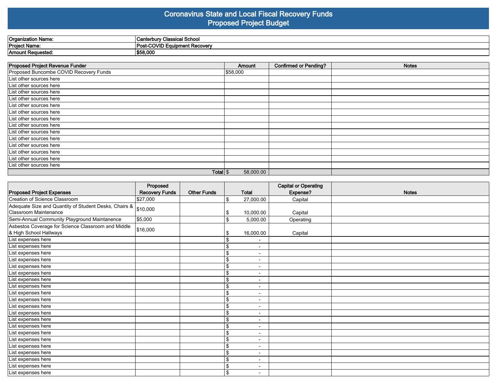## **Coronavirus State and Local Fiscal Recovery Funds Proposed Project Budget**

| 'Organization Name: | ! School<br><b>Canterbury Classical</b> |
|---------------------|-----------------------------------------|
| Project Name:       | . ⊖OVID Equipment Recover∨<br>Pos.      |
| Amount Requested:   | \$58,000                                |

| <b>Proposed Project Revenue Funder</b> | Amount    | <b>Confirmed or Pending?</b> | <b>Notes</b> |
|----------------------------------------|-----------|------------------------------|--------------|
| Proposed Buncombe COVID Recovery Funds | \$58,000  |                              |              |
| List other sources here                |           |                              |              |
| List other sources here                |           |                              |              |
| List other sources here                |           |                              |              |
| List other sources here                |           |                              |              |
| List other sources here                |           |                              |              |
| List other sources here                |           |                              |              |
| List other sources here                |           |                              |              |
| List other sources here                |           |                              |              |
| List other sources here                |           |                              |              |
| List other sources here                |           |                              |              |
| List other sources here                |           |                              |              |
| List other sources here                |           |                              |              |
| List other sources here                |           |                              |              |
| List other sources here                |           |                              |              |
| Total $\frac{1}{3}$                    | 58,000.00 |                              |              |

|                                                                              | Proposed              |                    |              |                          | <b>Capital or Operating</b> |              |
|------------------------------------------------------------------------------|-----------------------|--------------------|--------------|--------------------------|-----------------------------|--------------|
| <b>Proposed Project Expenses</b>                                             | <b>Recovery Funds</b> | <b>Other Funds</b> |              | <b>Total</b>             | Expense?                    | <b>Notes</b> |
| Creation of Science Classroom                                                | \$27,000              |                    | Ι\$          | 27,000.00                | Capital                     |              |
| Adequate Size and Quantity of Student Desks, Chairs & \$10,000               |                       |                    |              |                          |                             |              |
| Classroom Maintenance                                                        |                       |                    | \$           | 10,000.00                | Capital                     |              |
| Semi-Annual Community Playground Maintanence                                 | \$5,000               |                    | Ι\$          | 5,000.00                 | Operating                   |              |
| Asbestos Coverage for Science Classroom and Middle<br>& High School Hallways | \$16,000              |                    | \$           | 16,000.00                | Capital                     |              |
| List expenses here                                                           |                       |                    | \$           | $\overline{\phantom{a}}$ |                             |              |
| List expenses here                                                           |                       |                    | \$           | $\overline{\phantom{0}}$ |                             |              |
| List expenses here                                                           |                       |                    | \$           | $\blacksquare$           |                             |              |
| List expenses here                                                           |                       |                    | \$           | $\blacksquare$           |                             |              |
| List expenses here                                                           |                       |                    | \$           | $\overline{\phantom{a}}$ |                             |              |
| List expenses here                                                           |                       |                    | \$           | $\overline{\phantom{a}}$ |                             |              |
| List expenses here                                                           |                       |                    | \$           | $\overline{\phantom{a}}$ |                             |              |
| List expenses here                                                           |                       |                    | \$           | $\overline{\phantom{a}}$ |                             |              |
| List expenses here                                                           |                       |                    | $\mathbf{s}$ | $\blacksquare$           |                             |              |
| List expenses here                                                           |                       |                    | \$           | $\blacksquare$           |                             |              |
| List expenses here                                                           |                       |                    | \$           | $\overline{\phantom{a}}$ |                             |              |
| List expenses here                                                           |                       |                    | \$           | $\overline{\phantom{a}}$ |                             |              |
| List expenses here                                                           |                       |                    | \$           | $\overline{\phantom{a}}$ |                             |              |
| List expenses here                                                           |                       |                    | \$           | $\overline{\phantom{a}}$ |                             |              |
| List expenses here                                                           |                       |                    | \$           | $\overline{\phantom{a}}$ |                             |              |
| List expenses here                                                           |                       |                    | \$           | $\blacksquare$           |                             |              |
| List expenses here                                                           |                       |                    | \$           | $\blacksquare$           |                             |              |
| List expenses here                                                           |                       |                    | \$           | $\overline{\phantom{a}}$ |                             |              |
| List expenses here                                                           |                       |                    | \$           | $\overline{\phantom{a}}$ |                             |              |
| List expenses here                                                           |                       |                    | ι\$          | $\blacksquare$           |                             |              |
| List expenses here                                                           |                       |                    | ا \$         | $\overline{\phantom{a}}$ |                             |              |